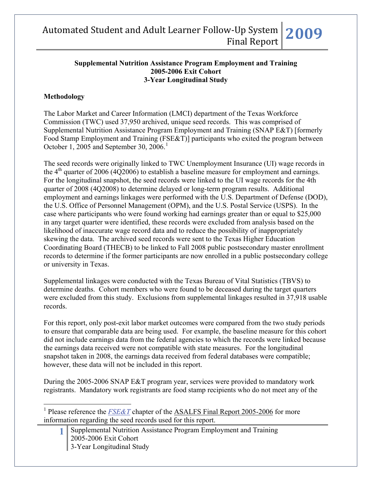#### **Supplemental Nutrition Assistance Program Employment and Training 2005-2006 Exit Cohort 3-Year Longitudinal Study**

### **Methodology**

 $\overline{a}$ 

The Labor Market and Career Information (LMCI) department of the Texas Workforce Commission (TWC) used 37,950 archived, unique seed records. This was comprised of Supplemental Nutrition Assistance Program Employment and Training (SNAP E&T) [formerly Food Stamp Employment and Training (FSE&T)] participants who exited the program between October [1](#page-0-0), 2005 and September 30, 2006.<sup>1</sup>

The seed records were originally linked to TWC Unemployment Insurance (UI) wage records in the  $4<sup>th</sup>$  quarter of 2006 (4Q2006) to establish a baseline measure for employment and earnings. For the longitudinal snapshot, the seed records were linked to the UI wage records for the 4th quarter of 2008 (4Q2008) to determine delayed or long-term program results. Additional employment and earnings linkages were performed with the U.S. Department of Defense (DOD), the U.S. Office of Personnel Management (OPM), and the U.S. Postal Service (USPS). In the case where participants who were found working had earnings greater than or equal to \$25,000 in any target quarter were identified, these records were excluded from analysis based on the likelihood of inaccurate wage record data and to reduce the possibility of inappropriately skewing the data. The archived seed records were sent to the Texas Higher Education Coordinating Board (THECB) to be linked to Fall 2008 public postsecondary master enrollment records to determine if the former participants are now enrolled in a public postsecondary college or university in Texas.

Supplemental linkages were conducted with the Texas Bureau of Vital Statistics (TBVS) to determine deaths. Cohort members who were found to be deceased during the target quarters were excluded from this study. Exclusions from supplemental linkages resulted in 37,918 usable records.

For this report, only post-exit labor market outcomes were compared from the two study periods to ensure that comparable data are being used. For example, the baseline measure for this cohort did not include earnings data from the federal agencies to which the records were linked because the earnings data received were not compatible with state measures. For the longitudinal snapshot taken in 2008, the earnings data received from federal databases were compatible; however, these data will not be included in this report.

During the 2005-2006 SNAP E&T program year, services were provided to mandatory work registrants. Mandatory work registrants are food stamp recipients who do not meet any of the

**1** Supplemental Nutrition Assistance Program Employment and Training 2005-2006 Exit Cohort 3-Year Longitudinal Study

<span id="page-0-0"></span><sup>&</sup>lt;sup>1</sup> Please reference the *[FSE&T](http://www.lmci.state.tx.us/researchers/Automated/Downloads/FinalReport02-03/FSET2004.pdf)* chapter of the **ASALFS** Final Report 2005-2006 for more information regarding the seed records used for this report.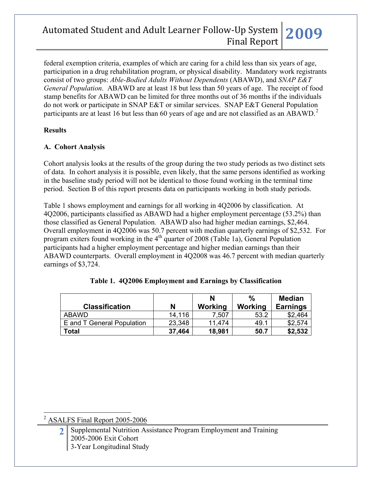federal exemption criteria, examples of which are caring for a child less than six years of age, participation in a drug rehabilitation program, or physical disability. Mandatory work registrants consist of two groups: *Able-Bodied Adults Without Dependents* (ABAWD), and *SNAP E&T General Population*. ABAWD are at least 18 but less than 50 years of age. The receipt of food stamp benefits for ABAWD can be limited for three months out of 36 months if the individuals do not work or participate in SNAP E&T or similar services. SNAP E&T General Population participants are at least 16 but less than 60 years of age and are not classified as an ABAWD.<sup>[2](#page-1-0)</sup>

### **Results**

### **A. Cohort Analysis**

Cohort analysis looks at the results of the group during the two study periods as two distinct sets of data. In cohort analysis it is possible, even likely, that the same persons identified as working in the baseline study period will not be identical to those found working in the terminal time period. Section B of this report presents data on participants working in both study periods.

Table 1 shows employment and earnings for all working in 4Q2006 by classification. At 4Q2006, participants classified as ABAWD had a higher employment percentage (53.2%) than those classified as General Population. ABAWD also had higher median earnings, \$2,464. Overall employment in 4Q2006 was 50.7 percent with median quarterly earnings of \$2,532. For program exiters found working in the  $4<sup>th</sup>$  quarter of 2008 (Table 1a), General Population participants had a higher employment percentage and higher median earnings than their ABAWD counterparts. Overall employment in 4Q2008 was 46.7 percent with median quarterly earnings of \$3,724.

|                            |        | N       | $\%$    | <b>Median</b>   |
|----------------------------|--------|---------|---------|-----------------|
| <b>Classification</b>      | N      | Working | Working | <b>Earnings</b> |
| ABAWD                      | 14,116 | 7.507   | 53.2    | \$2.464         |
| E and T General Population | 23,348 | 11.474  | 49.1    | \$2,574         |
| Total                      | 37,464 | 18,981  | 50.7    | \$2,532         |

|  |  | Table 1. 4Q2006 Employment and Earnings by Classification |
|--|--|-----------------------------------------------------------|
|  |  |                                                           |

<span id="page-1-0"></span><sup>2</sup> ASALFS Final Report 2005-2006

 $\overline{a}$ 

**2** Supplemental Nutrition Assistance Program Employment and Training 2005-2006 Exit Cohort 3-Year Longitudinal Study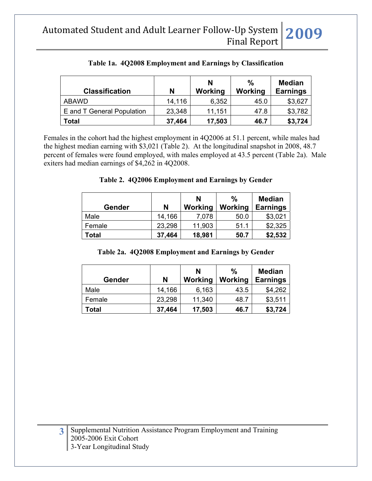| <b>Classification</b>      | N      | N<br>Working | $\%$<br>Working | <b>Median</b><br><b>Earnings</b> |
|----------------------------|--------|--------------|-----------------|----------------------------------|
| <b>ABAWD</b>               | 14,116 | 6,352        | 45.0            | \$3,627                          |
| E and T General Population | 23,348 | 11,151       | 47.8            | \$3,782                          |
| <b>Total</b>               | 37,464 | 17,503       | 46.7            | \$3,724                          |

### **Table 1a. 4Q2008 Employment and Earnings by Classification**

Females in the cohort had the highest employment in 4Q2006 at 51.1 percent, while males had the highest median earning with \$3,021 (Table 2). At the longitudinal snapshot in 2008, 48.7 percent of females were found employed, with males employed at 43.5 percent (Table 2a). Male exiters had median earnings of \$4,262 in 4Q2008.

### **Table 2. 4Q2006 Employment and Earnings by Gender**

| Gender | N      | N<br>Working | %<br>Working | <b>Median</b><br><b>Earnings</b> |
|--------|--------|--------------|--------------|----------------------------------|
| Male   | 14,166 | 7,078        | 50.0         | \$3,021                          |
| Female | 23,298 | 11,903       | 51.1         | \$2,325                          |
| Total  | 37,464 | 18,981       | 50.7         | \$2,532                          |

#### **Table 2a. 4Q2008 Employment and Earnings by Gender**

| <b>Gender</b> | N      | N<br>Working | $\frac{0}{0}$<br>Working | <b>Median</b><br><b>Earnings</b> |
|---------------|--------|--------------|--------------------------|----------------------------------|
| Male          | 14,166 | 6,163        | 43.5                     | \$4,262                          |
| Female        | 23,298 | 11,340       | 48.7                     | \$3,511                          |
| Total         | 37,464 | 17,503       | 46.7                     | \$3,724                          |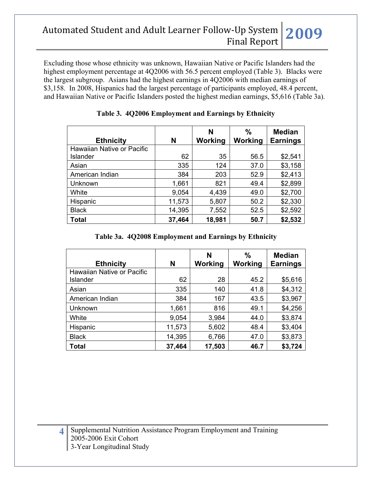Excluding those whose ethnicity was unknown, Hawaiian Native or Pacific Islanders had the highest employment percentage at 4Q2006 with 56.5 percent employed (Table 3). Blacks were the largest subgroup. Asians had the highest earnings in 4Q2006 with median earnings of \$3,158. In 2008, Hispanics had the largest percentage of participants employed, 48.4 percent, and Hawaiian Native or Pacific Islanders posted the highest median earnings, \$5,616 (Table 3a).

| <b>Ethnicity</b>           | N      | N<br>Working | $\frac{0}{0}$<br>Working | <b>Median</b><br><b>Earnings</b> |
|----------------------------|--------|--------------|--------------------------|----------------------------------|
| Hawaiian Native or Pacific |        |              |                          |                                  |
| Islander                   | 62     | 35           | 56.5                     | \$2,541                          |
| Asian                      | 335    | 124          | 37.0                     | \$3,158                          |
| American Indian            | 384    | 203          | 52.9                     | \$2,413                          |
| Unknown                    | 1,661  | 821          | 49.4                     | \$2,899                          |
| White                      | 9,054  | 4,439        | 49.0                     | \$2,700                          |
| Hispanic                   | 11,573 | 5,807        | 50.2                     | \$2,330                          |
| <b>Black</b>               | 14,395 | 7,552        | 52.5                     | \$2,592                          |
| <b>Total</b>               | 37,464 | 18,981       | 50.7                     | \$2,532                          |

### **Table 3. 4Q2006 Employment and Earnings by Ethnicity**

#### **Table 3a. 4Q2008 Employment and Earnings by Ethnicity**

| <b>Ethnicity</b>           | N      | N<br>Working | $\frac{0}{0}$<br>Working | <b>Median</b><br><b>Earnings</b> |
|----------------------------|--------|--------------|--------------------------|----------------------------------|
| Hawaiian Native or Pacific |        |              |                          |                                  |
| Islander                   | 62     | 28           | 45.2                     | \$5,616                          |
| Asian                      | 335    | 140          | 41.8                     | \$4,312                          |
| American Indian            | 384    | 167          | 43.5                     | \$3,967                          |
| Unknown                    | 1,661  | 816          | 49.1                     | \$4,256                          |
| White                      | 9,054  | 3,984        | 44.0                     | \$3,874                          |
| Hispanic                   | 11,573 | 5,602        | 48.4                     | \$3,404                          |
| <b>Black</b>               | 14,395 | 6,766        | 47.0                     | \$3,873                          |
| Total                      | 37,464 | 17,503       | 46.7                     | \$3,724                          |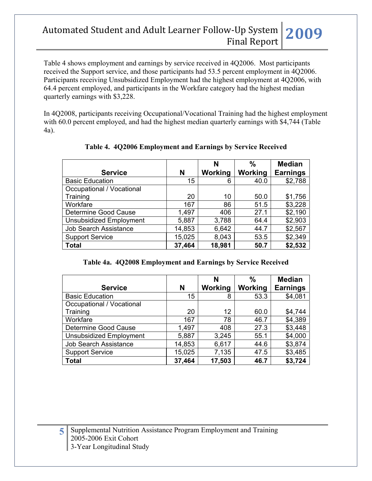Table 4 shows employment and earnings by service received in 4Q2006. Most participants received the Support service, and those participants had 53.5 percent employment in 4Q2006. Participants receiving Unsubsidized Employment had the highest employment at 4Q2006, with 64.4 percent employed, and participants in the Workfare category had the highest median quarterly earnings with \$3,228.

In 4Q2008, participants receiving Occupational/Vocational Training had the highest employment with 60.0 percent employed, and had the highest median quarterly earnings with \$4,744 (Table 4a).

|                                |        | N       | %       | <b>Median</b>   |
|--------------------------------|--------|---------|---------|-----------------|
| <b>Service</b>                 | N      | Working | Working | <b>Earnings</b> |
| <b>Basic Education</b>         | 15     | 6       | 40.0    | \$2,788         |
| Occupational / Vocational      |        |         |         |                 |
| Training                       | 20     | 10      | 50.0    | \$1,756         |
| Workfare                       | 167    | 86      | 51.5    | \$3,228         |
| Determine Good Cause           | 1,497  | 406     | 27.1    | \$2,190         |
| <b>Unsubsidized Employment</b> | 5,887  | 3,788   | 64.4    | \$2,903         |
| <b>Job Search Assistance</b>   | 14,853 | 6,642   | 44.7    | \$2,567         |
| <b>Support Service</b>         | 15,025 | 8,043   | 53.5    | \$2,349         |
| <b>Total</b>                   | 37,464 | 18,981  | 50.7    | \$2,532         |

## **Table 4. 4Q2006 Employment and Earnings by Service Received**

#### **Table 4a. 4Q2008 Employment and Earnings by Service Received**

| <b>Service</b>                 | N      | N<br>Working | $\frac{0}{0}$<br>Working | <b>Median</b><br><b>Earnings</b> |
|--------------------------------|--------|--------------|--------------------------|----------------------------------|
| <b>Basic Education</b>         | 15     | 8            | 53.3                     | \$4,081                          |
| Occupational / Vocational      |        |              |                          |                                  |
| Training                       | 20     | 12           | 60.0                     | \$4,744                          |
| Workfare                       | 167    | 78           | 46.7                     | \$4,389                          |
| Determine Good Cause           | 1,497  | 408          | 27.3                     | \$3,448                          |
| <b>Unsubsidized Employment</b> | 5,887  | 3,245        | 55.1                     | \$4,000                          |
| <b>Job Search Assistance</b>   | 14,853 | 6,617        | 44.6                     | \$3,874                          |
| <b>Support Service</b>         | 15,025 | 7,135        | 47.5                     | \$3,485                          |
| <b>Total</b>                   | 37,464 | 17,503       | 46.7                     | \$3,724                          |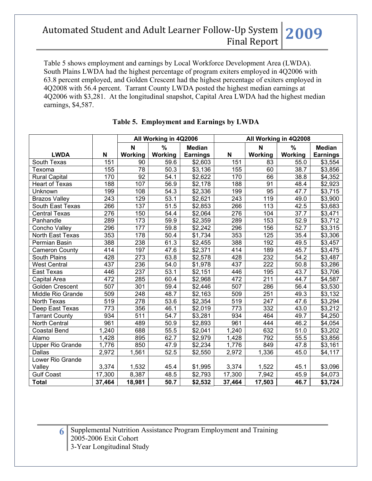Table 5 shows employment and earnings by Local Workforce Development Area (LWDA). South Plains LWDA had the highest percentage of program exiters employed in 4Q2006 with 63.8 percent employed, and Golden Crescent had the highest percentage of exiters employed in 4Q2008 with 56.4 percent. Tarrant County LWDA posted the highest median earnings at 4Q2006 with \$3,281. At the longitudinal snapshot, Capital Area LWDA had the highest median earnings, \$4,587.

|                         |        | All Working in 4Q2006 |                   | All Working in 4Q2008 |                  |             |         |                     |
|-------------------------|--------|-----------------------|-------------------|-----------------------|------------------|-------------|---------|---------------------|
|                         |        | $\mathbf N$           | $\%$              | <b>Median</b>         |                  | $\mathbf N$ | %       | <b>Median</b>       |
| <b>LWDA</b>             | N      | Working               | Working           | <b>Earnings</b>       | N                | Working     | Working | <b>Earnings</b>     |
| South Texas             | 151    | 90                    | 59.6              | \$2,603               | 151              | 83          | 55.0    | \$3,554             |
| Texoma                  | 155    | 78                    | 50.3              | \$3,136               | 155              | 60          | 38.7    | \$3,856             |
| <b>Rural Capital</b>    | 170    | $\overline{92}$       | 54.1              | \$2,622               | 170              | 66          | 38.8    | \$4,352             |
| <b>Heart of Texas</b>   | 188    | 107                   | 56.9              | \$2,178               | 188              | 91          | 48.4    | \$2,923             |
| Unknown                 | 199    | 108                   | 54.3              | \$2,336               | 199              | 95          | 47.7    | \$3,715             |
| <b>Brazos Valley</b>    | 243    | 129                   | 53.1              | \$2,621               | 243              | 119         | 49.0    | \$3,900             |
| South East Texas        | 266    | 137                   | $\overline{51.5}$ | \$2,853               | 266              | 113         | 42.5    | \$3,683             |
| <b>Central Texas</b>    | 276    | 150                   | 54.4              | \$2,064               | $\overline{276}$ | 104         | 37.7    | \$3,471             |
| Panhandle               | 289    | 173                   | 59.9              | \$2,359               | 289              | 153         | 52.9    | \$3,712             |
| Concho Valley           | 296    | 177                   | 59.8              | \$2,242               | 296              | 156         | 52.7    | \$3,315             |
| North East Texas        | 353    | 178                   | 50.4              | \$1,734               | 353              | 125         | 35.4    | \$3,306             |
| Permian Basin           | 388    | 238                   | 61.3              | \$2,455               | 388              | 192         | 49.5    | \$3,457             |
| <b>Cameron County</b>   | 414    | 197                   | 47.6              | \$2,371               | 414              | 189         | 45.7    | $\overline{$3,475}$ |
| South Plains            | 428    | $\overline{273}$      | 63.8              | \$2,578               | 428              | 232         | 54.2    | \$3,487             |
| <b>West Central</b>     | 437    | 236                   | 54.0              | \$1,978               | 437              | 222         | 50.8    | \$3,286             |
| East Texas              | 446    | 237                   | 53.1              | \$2,151               | 446              | 195         | 43.7    | \$3,706             |
| Capital Area            | 472    | 285                   | 60.4              | \$2,968               | 472              | 211         | 44.7    | \$4,587             |
| Golden Crescent         | 507    | 301                   | 59.4              | \$2,446               | 507              | 286         | 56.4    | \$3,530             |
| Middle Rio Grande       | 509    | 248                   | 48.7              | \$2,163               | 509              | 251         | 49.3    | \$3,132             |
| North Texas             | 519    | $\overline{278}$      | 53.6              | \$2,354               | 519              | 247         | 47.6    | \$3,294             |
| Deep East Texas         | 773    | 356                   | 46.1              | \$2,019               | 773              | 332         | 43.0    | \$3,212             |
| <b>Tarrant County</b>   | 934    | $\overline{511}$      | 54.7              | \$3,281               | 934              | 464         | 49.7    | \$4,250             |
| North Central           | 961    | 489                   | 50.9              | \$2,893               | 961              | 444         | 46.2    | \$4,054             |
| <b>Coastal Bend</b>     | 1,240  | 688                   | $\overline{55.5}$ | \$2,041               | 1,240            | 632         | 51.0    | \$3,202             |
| Alamo                   | 1,428  | 895                   | 62.7              | \$2,979               | 1,428            | 792         | 55.5    | \$3,856             |
| <b>Upper Rio Grande</b> | 1,776  | 850                   | 47.9              | \$2,234               | 1,776            | 849         | 47.8    | \$3,161             |
| Dallas                  | 2,972  | 1,561                 | 52.5              | \$2,550               | 2,972            | 1,336       | 45.0    | \$4,117             |
| Lower Rio Grande        |        |                       |                   |                       |                  |             |         |                     |
| Valley                  | 3,374  | 1,532                 | 45.4              | \$1,995               | 3,374            | 1,522       | 45.1    | \$3,096             |
| <b>Gulf Coast</b>       | 17,300 | 8,387                 | 48.5              | \$2,793               | 17,300           | 7,942       | 45.9    | \$4,073             |
| <b>Total</b>            | 37,464 | 18,981                | 50.7              | \$2,532               | 37,464           | 17,503      | 46.7    | \$3,724             |

### **Table 5. Employment and Earnings by LWDA**

**6** Supplemental Nutrition Assistance Program Employment and Training 2005-2006 Exit Cohort 3-Year Longitudinal Study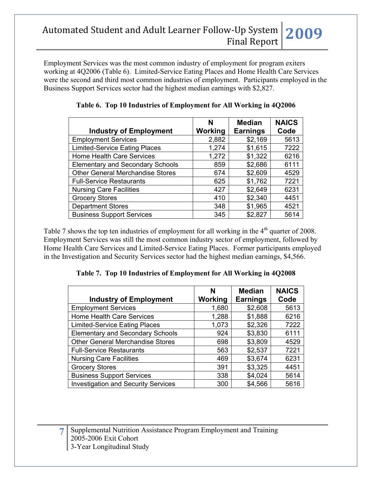Employment Services was the most common industry of employment for program exiters working at 4Q2006 (Table 6). Limited-Service Eating Places and Home Health Care Services were the second and third most common industries of employment. Participants employed in the Business Support Services sector had the highest median earnings with \$2,827.

|                                         | N              | <b>Median</b>   | <b>NAICS</b> |
|-----------------------------------------|----------------|-----------------|--------------|
| <b>Industry of Employment</b>           | <b>Working</b> | <b>Earnings</b> | Code         |
| <b>Employment Services</b>              | 2,882          | \$2,169         | 5613         |
| <b>Limited-Service Eating Places</b>    | 1,274          | \$1,615         | 7222         |
| Home Health Care Services               | 1,272          | \$1,322         | 6216         |
| <b>Elementary and Secondary Schools</b> | 859            | \$2,686         | 6111         |
| <b>Other General Merchandise Stores</b> | 674            | \$2,609         | 4529         |
| <b>Full-Service Restaurants</b>         | 625            | \$1,762         | 7221         |
| <b>Nursing Care Facilities</b>          | 427            | \$2,649         | 6231         |
| <b>Grocery Stores</b>                   | 410            | \$2,340         | 4451         |
| <b>Department Stores</b>                | 348            | \$1,965         | 4521         |
| <b>Business Support Services</b>        | 345            | \$2,827         | 5614         |

**Table 6. Top 10 Industries of Employment for All Working in 4Q2006**

Table 7 shows the top ten industries of employment for all working in the  $4<sup>th</sup>$  quarter of 2008. Employment Services was still the most common industry sector of employment, followed by Home Health Care Services and Limited-Service Eating Places. Former participants employed in the Investigation and Security Services sector had the highest median earnings, \$4,566.

| <b>Industry of Employment</b>              | N<br>Working | <b>Median</b><br><b>Earnings</b> | <b>NAICS</b><br>Code |
|--------------------------------------------|--------------|----------------------------------|----------------------|
| <b>Employment Services</b>                 | 1,680        | \$2,608                          | 5613                 |
| <b>Home Health Care Services</b>           | 1,288        | \$1,888                          | 6216                 |
| <b>Limited-Service Eating Places</b>       | 1,073        | \$2,326                          | 7222                 |
| <b>Elementary and Secondary Schools</b>    | 924          | \$3,830                          | 6111                 |
| <b>Other General Merchandise Stores</b>    | 698          | \$3,809                          | 4529                 |
| <b>Full-Service Restaurants</b>            | 563          | \$2,537                          | 7221                 |
| <b>Nursing Care Facilities</b>             | 469          | \$3,674                          | 6231                 |
| <b>Grocery Stores</b>                      | 391          | \$3,325                          | 4451                 |
| <b>Business Support Services</b>           | 338          | \$4,024                          | 5614                 |
| <b>Investigation and Security Services</b> | 300          | \$4,566                          | 5616                 |

**Table 7. Top 10 Industries of Employment for All Working in 4Q2008**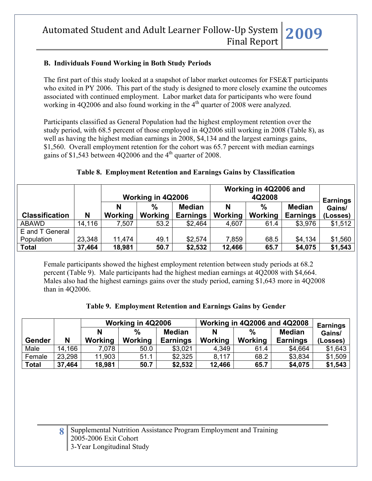### **B. Individuals Found Working in Both Study Periods**

The first part of this study looked at a snapshot of labor market outcomes for FSE&T participants who exited in PY 2006. This part of the study is designed to more closely examine the outcomes associated with continued employment. Labor market data for participants who were found working in 4Q2006 and also found working in the  $4<sup>th</sup>$  quarter of 2008 were analyzed.

Participants classified as General Population had the highest employment retention over the study period, with 68.5 percent of those employed in 4Q2006 still working in 2008 (Table 8), as well as having the highest median earnings in 2008, \$4,134 and the largest earnings gains, \$1,560. Overall employment retention for the cohort was 65.7 percent with median earnings gains of \$1,543 between 4Q2006 and the  $4<sup>th</sup>$  quarter of 2008.

|                               |        |         |                   |                 |         | Working in 4Q2006 and |                 |          |
|-------------------------------|--------|---------|-------------------|-----------------|---------|-----------------------|-----------------|----------|
|                               |        |         | Working in 4Q2006 |                 |         | <b>Earnings</b>       |                 |          |
|                               |        |         | $\%$              | <b>Median</b>   | N       | $\frac{0}{0}$         | <b>Median</b>   | Gains/   |
| <b>Classification</b>         | N      | Working | Working           | <b>Earnings</b> | Working | Working               | <b>Earnings</b> | (Losses) |
| <b>ABAWD</b>                  | 14,116 | 7,507   | 53.2              | \$2,464         | 4,607   | 61.4                  | \$3,976         | \$1,512  |
| E and T General<br>Population | 23,348 | 11,474  | 49.1              | \$2,574         | 7,859   | 68.5                  | \$4,134         | \$1,560  |

### **Table 8. Employment Retention and Earnings Gains by Classification**

Female participants showed the highest employment retention between study periods at 68.2 percent (Table 9). Male participants had the highest median earnings at 4Q2008 with \$4,664. Males also had the highest earnings gains over the study period, earning \$1,643 more in 4Q2008 than in 4Q2006.

**Total 37,464 18,981 50.7 \$2,532 12,466 65.7 \$4,075 \$1,543** 

|  |  | Table 9. Employment Retention and Earnings Gains by Gender |
|--|--|------------------------------------------------------------|
|  |  |                                                            |

|              |        |         | Working in 4Q2006 |                 | <b>Working in 4Q2006 and 4Q2008</b> | <b>Earnings</b> |                 |          |
|--------------|--------|---------|-------------------|-----------------|-------------------------------------|-----------------|-----------------|----------|
|              |        |         | $\%$              | <b>Median</b>   | N                                   | $\%$            | <b>Median</b>   | Gains/   |
| Gender       | N      | Working | Working           | <b>Earnings</b> | <b>Working</b>                      | Working         | <b>Earnings</b> | (Losses) |
| Male         | 14.166 | 7.078   | 50.0              | \$3,021         | 4.349                               | 61.4            | \$4.664         | \$1,643  |
| Female       | 23,298 | 11,903  | 51.1              | \$2,325         | 8,117                               | 68.2            | \$3,834         | \$1,509  |
| <b>Total</b> | 37,464 | 18,981  | 50.7              | \$2,532         | 12,466                              | 65.7            | \$4,075         | \$1,543  |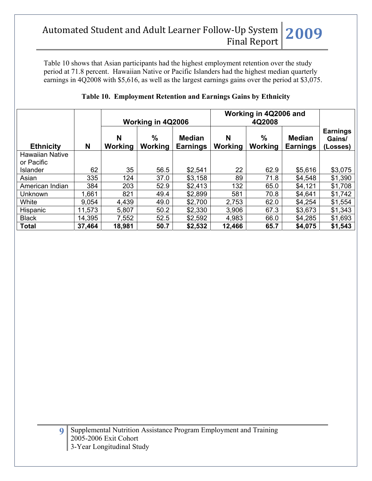Table 10 shows that Asian participants had the highest employment retention over the study period at 71.8 percent. Hawaiian Native or Pacific Islanders had the highest median quarterly earnings in 4Q2008 with \$5,616, as well as the largest earnings gains over the period at \$3,075.

|                        |        |              | Working in 4Q2006               |                                  | Working in 4Q2006 and |                     |                                  |                                       |
|------------------------|--------|--------------|---------------------------------|----------------------------------|-----------------------|---------------------|----------------------------------|---------------------------------------|
| <b>Ethnicity</b>       | N      | N<br>Working | $\frac{0}{0}$<br><b>Working</b> | <b>Median</b><br><b>Earnings</b> | N<br>Working          | %<br><b>Working</b> | <b>Median</b><br><b>Earnings</b> | <b>Earnings</b><br>Gains/<br>(Losses) |
| <b>Hawaiian Native</b> |        |              |                                 |                                  |                       |                     |                                  |                                       |
| or Pacific             |        |              |                                 |                                  |                       |                     |                                  |                                       |
| <b>Islander</b>        | 62     | 35           | 56.5                            | \$2,541                          | 22                    | 62.9                | \$5,616                          | \$3,075                               |
| Asian                  | 335    | 124          | 37.0                            | \$3,158                          | 89                    | 71.8                | \$4,548                          | \$1,390                               |
| American Indian        | 384    | 203          | 52.9                            | \$2,413                          | 132                   | 65.0                | \$4,121                          | \$1,708                               |
| Unknown                | 1,661  | 821          | 49.4                            | \$2,899                          | 581                   | 70.8                | \$4,641                          | \$1,742                               |
| White                  | 9,054  | 4,439        | 49.0                            | \$2,700                          | 2,753                 | 62.0                | \$4,254                          | \$1,554                               |
| Hispanic               | 11,573 | 5,807        | 50.2                            | \$2,330                          | 3,906                 | 67.3                | \$3,673                          | \$1,343                               |
| <b>Black</b>           | 14,395 | 7,552        | 52.5                            | \$2,592                          | 4,983                 | 66.0                | \$4,285                          | \$1,693                               |
| <b>Total</b>           | 37,464 | 18,981       | 50.7                            | \$2,532                          | 12,466                | 65.7                | \$4,075                          | \$1,543                               |

## **Table 10. Employment Retention and Earnings Gains by Ethnicity**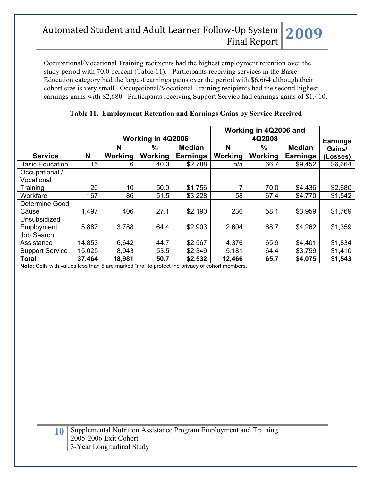Occupational/Vocational Training recipients had the highest employment retention over the study period with 70.0 percent (Table 11). Participants receiving services in the Basic Education category had the largest earnings gains over the period with \$6,664 although their cohort size is very small. Occupational/Vocational Training recipients had the second highest earnings gains with \$2,680. Participants receiving Support Service had earnings gains of \$1,410.

|                                                                                                |        | Working in 4Q2006 |               |                 | Working in 4Q2006 and | <b>Earnings</b> |                 |          |
|------------------------------------------------------------------------------------------------|--------|-------------------|---------------|-----------------|-----------------------|-----------------|-----------------|----------|
|                                                                                                |        | N                 | $\frac{0}{0}$ | <b>Median</b>   | N                     | $\frac{0}{0}$   | <b>Median</b>   | Gains/   |
| <b>Service</b>                                                                                 | N      | Working           | Working       | <b>Earnings</b> | Working               | Working         | <b>Earnings</b> | (Losses) |
| <b>Basic Education</b>                                                                         | 15     | 6                 | 40.0          | \$2,788         | n/a                   | 66.7            | \$9,452         | \$6,664  |
| Occupational /                                                                                 |        |                   |               |                 |                       |                 |                 |          |
| Vocational                                                                                     |        |                   |               |                 |                       |                 |                 |          |
| Training                                                                                       | 20     | 10                | 50.0          | \$1,756         |                       | 70.0            | \$4,436         | \$2,680  |
| Workfare                                                                                       | 167    | 86                | 51.5          | \$3,228         | 58                    | 67.4            | \$4,770         | \$1,542  |
| Determine Good                                                                                 |        |                   |               |                 |                       |                 |                 |          |
| Cause                                                                                          | 1,497  | 406               | 27.1          | \$2,190         | 236                   | 58.1            | \$3,959         | \$1,769  |
| Unsubsidized                                                                                   |        |                   |               |                 |                       |                 |                 |          |
| Employment                                                                                     | 5,887  | 3,788             | 64.4          | \$2,903         | 2,604                 | 68.7            | \$4,262         | \$1,359  |
| Job Search                                                                                     |        |                   |               |                 |                       |                 |                 |          |
| Assistance                                                                                     | 14,853 | 6,642             | 44.7          | \$2,567         | 4,376                 | 65.9            | \$4,401         | \$1,834  |
| <b>Support Service</b>                                                                         | 15,025 | 8,043             | 53.5          | \$2,349         | 5,181                 | 64.4            | \$3,759         | \$1,410  |
| <b>Total</b>                                                                                   | 37,464 | 18,981            | 50.7          | \$2,532         | 12,466                | 65.7            | \$4,075         | \$1,543  |
| Note: Cells with values less than 5 are marked "n/a" to protect the privacy of cohort members. |        |                   |               |                 |                       |                 |                 |          |

### **Table 11. Employment Retention and Earnings Gains by Service Received**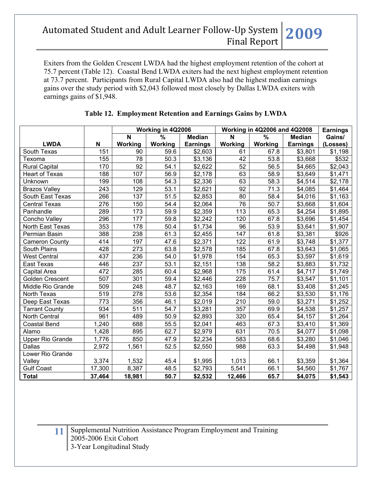Exiters from the Golden Crescent LWDA had the highest employment retention of the cohort at 75.7 percent (Table 12). Coastal Bend LWDA exiters had the next highest employment retention at 73.7 percent. Participants from Rural Capital LWDA also had the highest median earnings gains over the study period with \$2,043 followed most closely by Dallas LWDA exiters with earnings gains of \$1,948.

|                         |        | Working in 4Q2006       |                          |                 |         | <b>Working in 4Q2006 and 4Q2008</b> |                      | <b>Earnings</b> |
|-------------------------|--------|-------------------------|--------------------------|-----------------|---------|-------------------------------------|----------------------|-----------------|
|                         |        | $\overline{\mathsf{N}}$ | $\overline{\frac{9}{6}}$ | <b>Median</b>   | N       | $\frac{9}{6}$                       | <b>Median</b>        | Gains/          |
| <b>LWDA</b>             | N      | Working                 | <b>Working</b>           | <b>Earnings</b> | Working | Working                             | <b>Earnings</b>      | (Losses)        |
| South Texas             | 151    | 90                      | 59.6                     | \$2,603         | 61      | 67.8                                | \$3,801              | \$1,198         |
| Texoma                  | 155    | 78                      | 50.3                     | \$3,136         | 42      | 53.8                                | \$3,668              | \$532           |
| <b>Rural Capital</b>    | 170    | 92                      | 54.1                     | \$2,622         | 52      | 56.5                                | \$4,665              | \$2,043         |
| <b>Heart of Texas</b>   | 188    | 107                     | 56.9                     | \$2,178         | 63      | 58.9                                | \$3,649              | \$1,471         |
| Unknown                 | 199    | 108                     | 54.3                     | \$2,336         | 63      | 58.3                                | \$4,514              | \$2,178         |
| <b>Brazos Valley</b>    | 243    | 129                     | 53.1                     | \$2,621         | 92      | 71.3                                | \$4,085              | \$1,464         |
| South East Texas        | 266    | 137                     | 51.5                     | \$2,853         | 80      | 58.4                                | \$4,016              | \$1,163         |
| <b>Central Texas</b>    | 276    | 150                     | 54.4                     | \$2,064         | 76      | 50.7                                | \$3,668              | \$1,604         |
| Panhandle               | 289    | 173                     | 59.9                     | \$2,359         | 113     | 65.3                                | \$4,254              | \$1,895         |
| Concho Valley           | 296    | 177                     | 59.8                     | \$2,242         | 120     | 67.8                                | \$3,696              | \$1,454         |
| North East Texas        | 353    | 178                     | 50.4                     | \$1,734         | 96      | 53.9                                | \$3,641              | \$1,907         |
| Permian Basin           | 388    | 238                     | 61.3                     | \$2,455         | 147     | 61.8                                | \$3,381              | \$926           |
| <b>Cameron County</b>   | 414    | 197                     | 47.6                     | \$2,371         | 122     | 61.9                                | \$3,748              | \$1,377         |
| South Plains            | 428    | 273                     | 63.8                     | \$2,578         | 185     | 67.8                                | \$3,643              | \$1,065         |
| <b>West Central</b>     | 437    | 236                     | 54.0                     | \$1,978         | 154     | 65.3                                | \$3,597              | \$1,619         |
| East Texas              | 446    | 237                     | 53.1                     | \$2,151         | 138     | 58.2                                | \$3,883              | \$1,732         |
| Capital Area            | 472    | 285                     | 60.4                     | \$2,968         | 175     | 61.4                                | \$4,717              | \$1,749         |
| <b>Golden Crescent</b>  | 507    | 301                     | 59.4                     | \$2,446         | 228     | 75.7                                | \$3,547              | \$1,101         |
| Middle Rio Grande       | 509    | 248                     | 48.7                     | \$2,163         | 169     | 68.1                                | \$3,408              | \$1,245         |
| North Texas             | 519    | 278                     | 53.6                     | \$2,354         | 184     | 66.2                                | \$3,530              | \$1,176         |
| Deep East Texas         | 773    | 356                     | 46.1                     | \$2,019         | 210     | 59.0                                | \$3,271              | \$1,252         |
| <b>Tarrant County</b>   | 934    | 511                     | 54.7                     | \$3,281         | 357     | 69.9                                | \$4,538              | \$1,257         |
| <b>North Central</b>    | 961    | 489                     | 50.9                     | \$2,893         | 320     | 65.4                                | \$4,157              | \$1,264         |
| <b>Coastal Bend</b>     | 1,240  | 688                     | 55.5                     | \$2,041         | 463     | 67.3                                | \$3,410              | \$1,369         |
| Alamo                   | 1,428  | 895                     | 62.7                     | \$2,979         | 631     | 70.5                                | \$4,077              | \$1,098         |
| <b>Upper Rio Grande</b> | 1,776  | 850                     | 47.9                     | \$2,234         | 583     | 68.6                                | $\overline{\$3,280}$ | \$1,046         |
| <b>Dallas</b>           | 2,972  | 1,561                   | 52.5                     | \$2,550         | 988     | 63.3                                | \$4,498              | \$1,948         |
| Lower Rio Grande        |        |                         |                          |                 |         |                                     |                      |                 |
| Valley                  | 3,374  | 1,532                   | 45.4                     | \$1,995         | 1,013   | 66.1                                | \$3,359              | \$1,364         |
| <b>Gulf Coast</b>       | 17,300 | 8,387                   | 48.5                     | \$2,793         | 5,541   | 66.1                                | \$4,560              | \$1,767         |
| <b>Total</b>            | 37,464 | 18,981                  | 50.7                     | \$2,532         | 12,466  | 65.7                                | \$4,075              | \$1,543         |

### **Table 12. Employment Retention and Earnings Gains by LWDA**

**11** Supplemental Nutrition Assistance Program Employment and Training 2005-2006 Exit Cohort 3-Year Longitudinal Study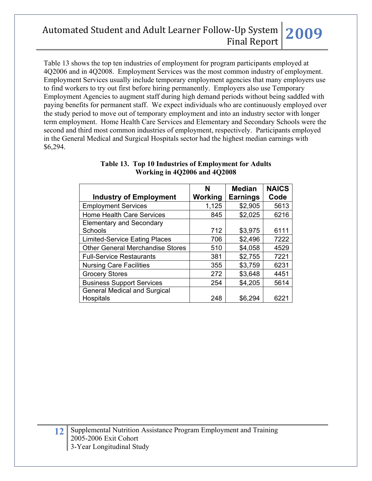Table 13 shows the top ten industries of employment for program participants employed at 4Q2006 and in 4Q2008. Employment Services was the most common industry of employment. Employment Services usually include temporary employment agencies that many employers use to find workers to try out first before hiring permanently. Employers also use Temporary Employment Agencies to augment staff during high demand periods without being saddled with paying benefits for permanent staff. We expect individuals who are continuously employed over the study period to move out of temporary employment and into an industry sector with longer term employment. Home Health Care Services and Elementary and Secondary Schools were the second and third most common industries of employment, respectively. Participants employed in the General Medical and Surgical Hospitals sector had the highest median earnings with \$6,294.

| <b>Industry of Employment</b>           | N<br>Working | <b>Median</b><br><b>Earnings</b> | <b>NAICS</b><br>Code |
|-----------------------------------------|--------------|----------------------------------|----------------------|
| <b>Employment Services</b>              | 1,125        | \$2,905                          | 5613                 |
| <b>Home Health Care Services</b>        | 845          | \$2,025                          | 6216                 |
| <b>Elementary and Secondary</b>         |              |                                  |                      |
| Schools                                 | 712          | \$3,975                          | 6111                 |
| <b>Limited-Service Eating Places</b>    | 706          | \$2,496                          | 7222                 |
| <b>Other General Merchandise Stores</b> | 510          | \$4,058                          | 4529                 |
| <b>Full-Service Restaurants</b>         | 381          | \$2,755                          | 7221                 |
| <b>Nursing Care Facilities</b>          | 355          | \$3,759                          | 6231                 |
| <b>Grocery Stores</b>                   | 272          | \$3,648                          | 4451                 |
| <b>Business Support Services</b>        | 254          | \$4,205                          | 5614                 |
| <b>General Medical and Surgical</b>     |              |                                  |                      |
| Hospitals                               | 248          | \$6,294                          | 622'                 |

#### **Table 13. Top 10 Industries of Employment for Adults Working in 4Q2006 and 4Q2008**